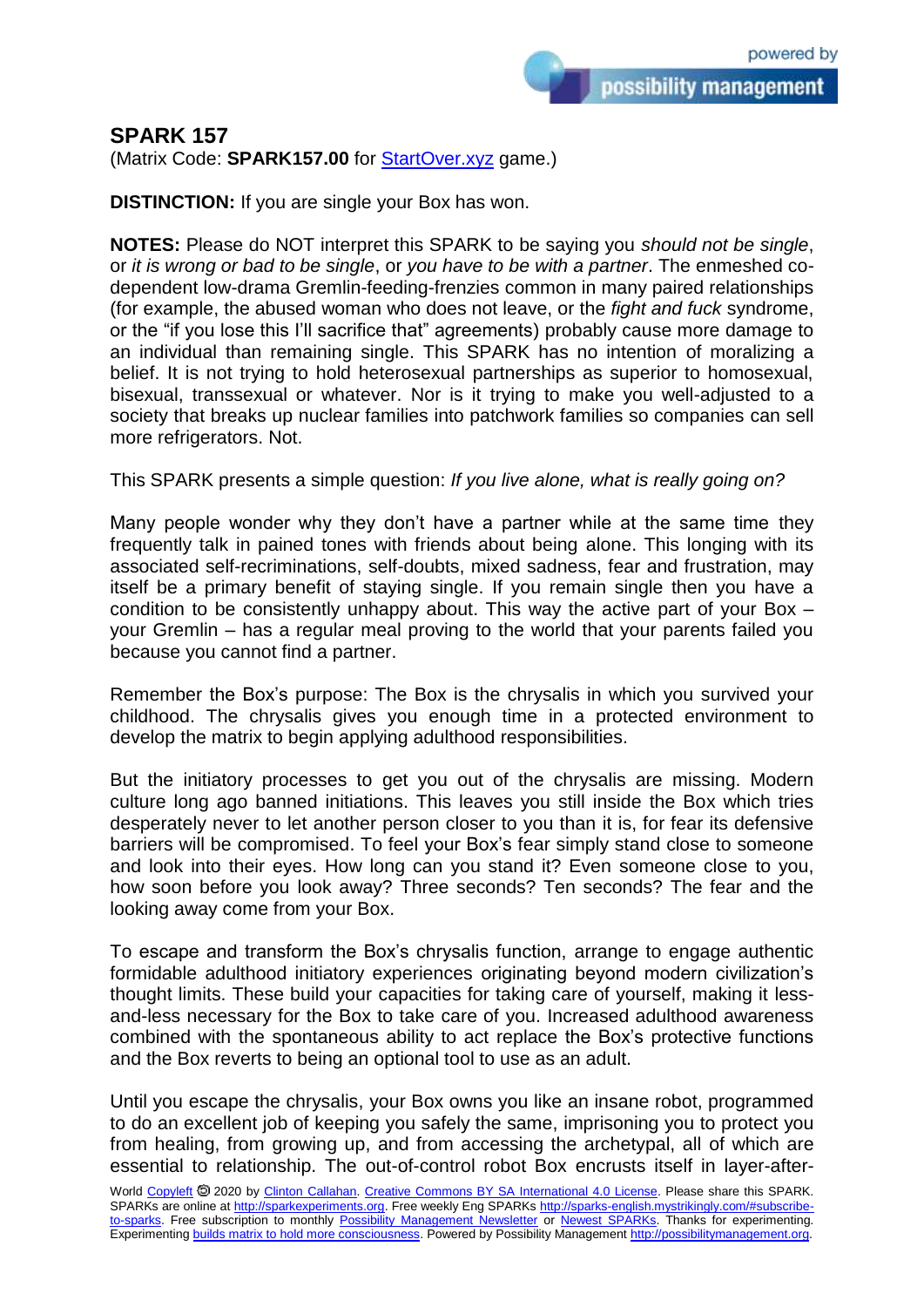possibility management

## **SPARK 157**

(Matrix Code: **SPARK157.00** for **StartOver.xyz** game.)

**DISTINCTION:** If you are single your Box has won.

**NOTES:** Please do NOT interpret this SPARK to be saying you *should not be single*, or *it is wrong or bad to be single*, or *you have to be with a partner*. The enmeshed codependent low-drama Gremlin-feeding-frenzies common in many paired relationships (for example, the abused woman who does not leave, or the *fight and fuck* syndrome, or the "if you lose this I'll sacrifice that" agreements) probably cause more damage to an individual than remaining single. This SPARK has no intention of moralizing a belief. It is not trying to hold heterosexual partnerships as superior to homosexual, bisexual, transsexual or whatever. Nor is it trying to make you well-adjusted to a society that breaks up nuclear families into patchwork families so companies can sell more refrigerators. Not.

## This SPARK presents a simple question: *If you live alone, what is really going on?*

Many people wonder why they don't have a partner while at the same time they frequently talk in pained tones with friends about being alone. This longing with its associated self-recriminations, self-doubts, mixed sadness, fear and frustration, may itself be a primary benefit of staying single. If you remain single then you have a condition to be consistently unhappy about. This way the active part of your Box – your Gremlin – has a regular meal proving to the world that your parents failed you because you cannot find a partner.

Remember the Box's purpose: The Box is the chrysalis in which you survived your childhood. The chrysalis gives you enough time in a protected environment to develop the matrix to begin applying adulthood responsibilities.

But the initiatory processes to get you out of the chrysalis are missing. Modern culture long ago banned initiations. This leaves you still inside the Box which tries desperately never to let another person closer to you than it is, for fear its defensive barriers will be compromised. To feel your Box's fear simply stand close to someone and look into their eyes. How long can you stand it? Even someone close to you, how soon before you look away? Three seconds? Ten seconds? The fear and the looking away come from your Box.

To escape and transform the Box's chrysalis function, arrange to engage authentic formidable adulthood initiatory experiences originating beyond modern civilization's thought limits. These build your capacities for taking care of yourself, making it lessand-less necessary for the Box to take care of you. Increased adulthood awareness combined with the spontaneous ability to act replace the Box's protective functions and the Box reverts to being an optional tool to use as an adult.

Until you escape the chrysalis, your Box owns you like an insane robot, programmed to do an excellent job of keeping you safely the same, imprisoning you to protect you from healing, from growing up, and from accessing the archetypal, all of which are essential to relationship. The out-of-control robot Box encrusts itself in layer-after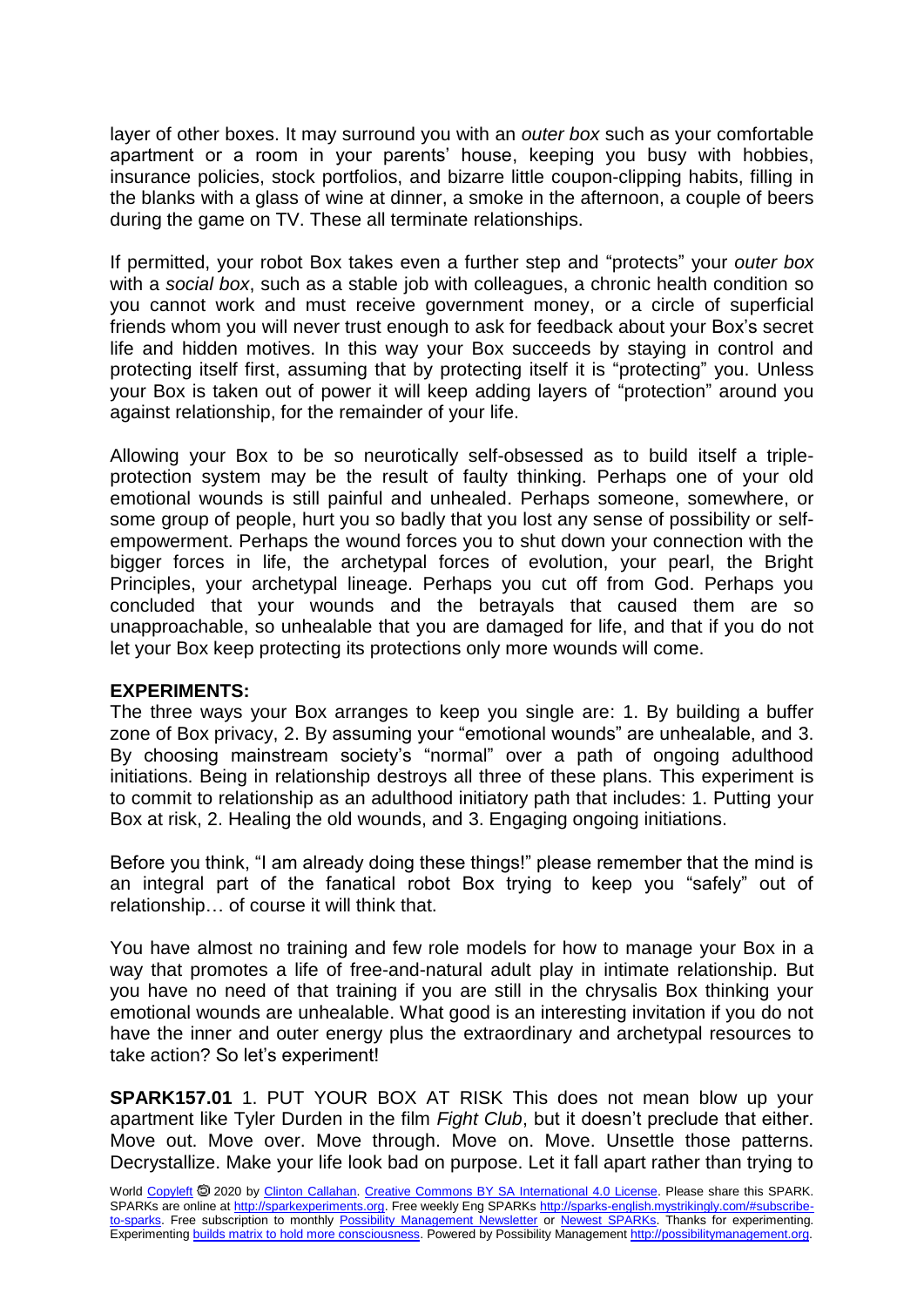layer of other boxes. It may surround you with an *outer box* such as your comfortable apartment or a room in your parents' house, keeping you busy with hobbies, insurance policies, stock portfolios, and bizarre little coupon-clipping habits, filling in the blanks with a glass of wine at dinner, a smoke in the afternoon, a couple of beers during the game on TV. These all terminate relationships.

If permitted, your robot Box takes even a further step and "protects" your *outer box* with a *social box*, such as a stable job with colleagues, a chronic health condition so you cannot work and must receive government money, or a circle of superficial friends whom you will never trust enough to ask for feedback about your Box's secret life and hidden motives. In this way your Box succeeds by staying in control and protecting itself first, assuming that by protecting itself it is "protecting" you. Unless your Box is taken out of power it will keep adding layers of "protection" around you against relationship, for the remainder of your life.

Allowing your Box to be so neurotically self-obsessed as to build itself a tripleprotection system may be the result of faulty thinking. Perhaps one of your old emotional wounds is still painful and unhealed. Perhaps someone, somewhere, or some group of people, hurt you so badly that you lost any sense of possibility or selfempowerment. Perhaps the wound forces you to shut down your connection with the bigger forces in life, the archetypal forces of evolution, your pearl, the Bright Principles, your archetypal lineage. Perhaps you cut off from God. Perhaps you concluded that your wounds and the betrayals that caused them are so unapproachable, so unhealable that you are damaged for life, and that if you do not let your Box keep protecting its protections only more wounds will come.

## **EXPERIMENTS:**

The three ways your Box arranges to keep you single are: 1. By building a buffer zone of Box privacy, 2. By assuming your "emotional wounds" are unhealable, and 3. By choosing mainstream society's "normal" over a path of ongoing adulthood initiations. Being in relationship destroys all three of these plans. This experiment is to commit to relationship as an adulthood initiatory path that includes: 1. Putting your Box at risk, 2. Healing the old wounds, and 3. Engaging ongoing initiations.

Before you think, "I am already doing these things!" please remember that the mind is an integral part of the fanatical robot Box trying to keep you "safely" out of relationship… of course it will think that.

You have almost no training and few role models for how to manage your Box in a way that promotes a life of free-and-natural adult play in intimate relationship. But you have no need of that training if you are still in the chrysalis Box thinking your emotional wounds are unhealable. What good is an interesting invitation if you do not have the inner and outer energy plus the extraordinary and archetypal resources to take action? So let's experiment!

**SPARK157.01** 1. PUT YOUR BOX AT RISK This does not mean blow up your apartment like Tyler Durden in the film *Fight Club*, but it doesn't preclude that either. Move out. Move over. Move through. Move on. Move. Unsettle those patterns. Decrystallize. Make your life look bad on purpose. Let it fall apart rather than trying to